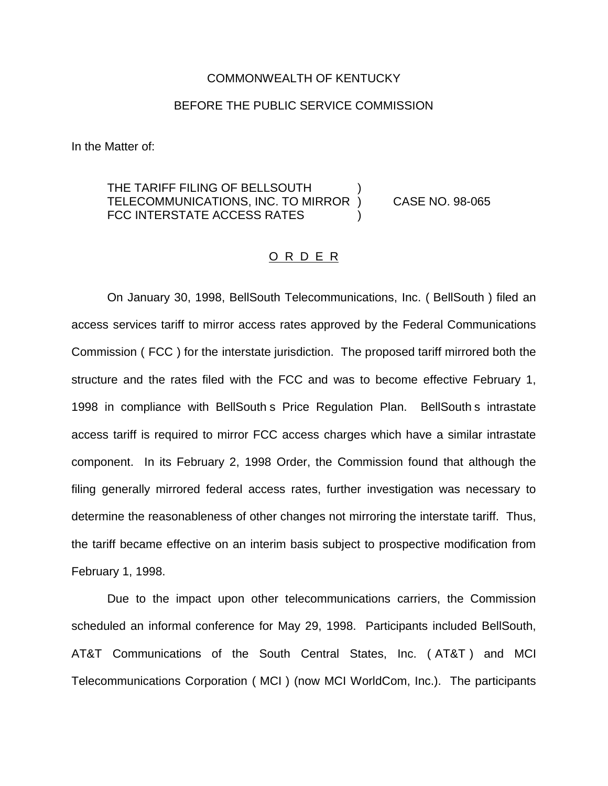#### COMMONWEALTH OF KENTUCKY

## BEFORE THE PUBLIC SERVICE COMMISSION

In the Matter of:

# THE TARIFF FILING OF BELLSOUTH TELECOMMUNICATIONS, INC. TO MIRROR ) CASE NO. 98-065 FCC INTERSTATE ACCESS RATES

## O R D E R

On January 30, 1998, BellSouth Telecommunications, Inc. ( BellSouth ) filed an access services tariff to mirror access rates approved by the Federal Communications Commission ( FCC ) for the interstate jurisdiction. The proposed tariff mirrored both the structure and the rates filed with the FCC and was to become effective February 1, 1998 in compliance with BellSouth s Price Regulation Plan. BellSouth s intrastate access tariff is required to mirror FCC access charges which have a similar intrastate component. In its February 2, 1998 Order, the Commission found that although the filing generally mirrored federal access rates, further investigation was necessary to determine the reasonableness of other changes not mirroring the interstate tariff. Thus, the tariff became effective on an interim basis subject to prospective modification from February 1, 1998.

Due to the impact upon other telecommunications carriers, the Commission scheduled an informal conference for May 29, 1998. Participants included BellSouth, AT&T Communications of the South Central States, Inc. ( AT&T ) and MCI Telecommunications Corporation ( MCI ) (now MCI WorldCom, Inc.). The participants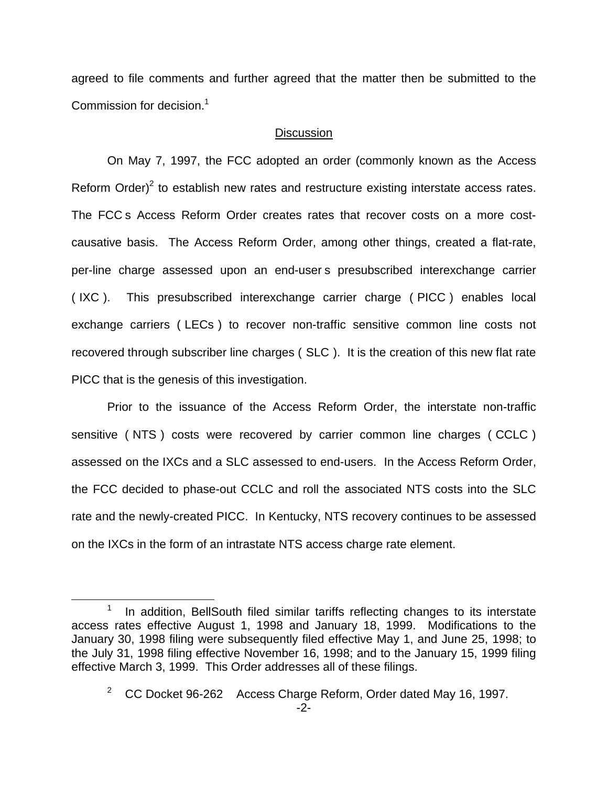agreed to file comments and further agreed that the matter then be submitted to the Commission for decision.<sup>1</sup>

### **Discussion**

On May 7, 1997, the FCC adopted an order (commonly known as the Access Reform Order)<sup>2</sup> to establish new rates and restructure existing interstate access rates. The FCC s Access Reform Order creates rates that recover costs on a more costcausative basis. The Access Reform Order, among other things, created a flat-rate, per-line charge assessed upon an end-user s presubscribed interexchange carrier ( IXC ). This presubscribed interexchange carrier charge ( PICC ) enables local exchange carriers ( LECs ) to recover non-traffic sensitive common line costs not recovered through subscriber line charges ( SLC ). It is the creation of this new flat rate PICC that is the genesis of this investigation.

Prior to the issuance of the Access Reform Order, the interstate non-traffic sensitive ( NTS ) costs were recovered by carrier common line charges ( CCLC ) assessed on the IXCs and a SLC assessed to end-users. In the Access Reform Order, the FCC decided to phase-out CCLC and roll the associated NTS costs into the SLC rate and the newly-created PICC. In Kentucky, NTS recovery continues to be assessed on the IXCs in the form of an intrastate NTS access charge rate element.

In addition, BellSouth filed similar tariffs reflecting changes to its interstate access rates effective August 1, 1998 and January 18, 1999. Modifications to the January 30, 1998 filing were subsequently filed effective May 1, and June 25, 1998; to the July 31, 1998 filing effective November 16, 1998; and to the January 15, 1999 filing effective March 3, 1999. This Order addresses all of these filings.

 $2^2$  CC Docket 96-262 Access Charge Reform, Order dated May 16, 1997.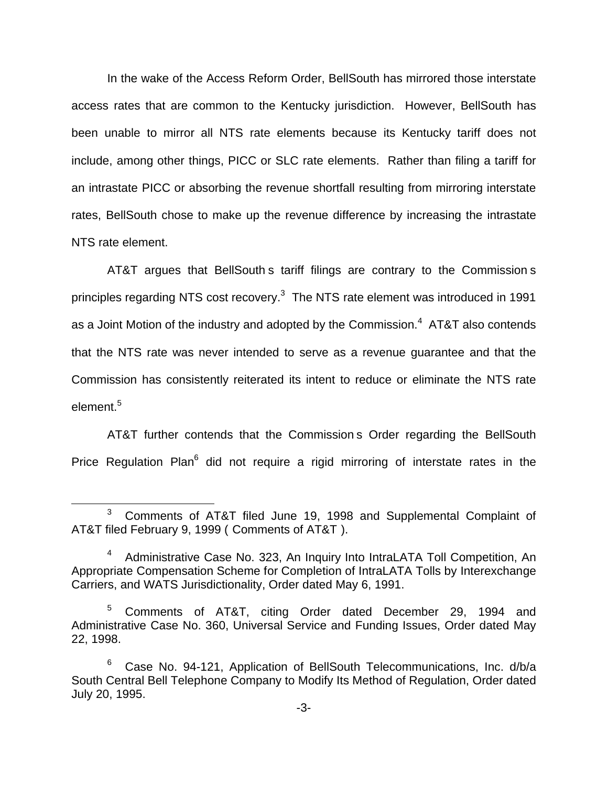In the wake of the Access Reform Order, BellSouth has mirrored those interstate access rates that are common to the Kentucky jurisdiction. However, BellSouth has been unable to mirror all NTS rate elements because its Kentucky tariff does not include, among other things, PICC or SLC rate elements. Rather than filing a tariff for an intrastate PICC or absorbing the revenue shortfall resulting from mirroring interstate rates, BellSouth chose to make up the revenue difference by increasing the intrastate NTS rate element.

AT&T argues that BellSouth s tariff filings are contrary to the Commission s principles regarding NTS cost recovery.<sup>3</sup> The NTS rate element was introduced in 1991 as a Joint Motion of the industry and adopted by the Commission. $4$  AT&T also contends that the NTS rate was never intended to serve as a revenue guarantee and that the Commission has consistently reiterated its intent to reduce or eliminate the NTS rate element  $^5$ 

AT&T further contends that the Commission s Order regarding the BellSouth Price Regulation Plan<sup>6</sup> did not require a rigid mirroring of interstate rates in the

<sup>3</sup> Comments of AT&T filed June 19, 1998 and Supplemental Complaint of AT&T filed February 9, 1999 ( Comments of AT&T ).

<sup>&</sup>lt;sup>4</sup> Administrative Case No. 323, An Inquiry Into IntraLATA Toll Competition, An Appropriate Compensation Scheme for Completion of IntraLATA Tolls by Interexchange Carriers, and WATS Jurisdictionality, Order dated May 6, 1991.

<sup>5</sup> Comments of AT&T, citing Order dated December 29, 1994 and Administrative Case No. 360, Universal Service and Funding Issues, Order dated May 22, 1998.

 $6$  Case No. 94-121, Application of BellSouth Telecommunications, Inc.  $d/b/a$ South Central Bell Telephone Company to Modify Its Method of Regulation, Order dated July 20, 1995.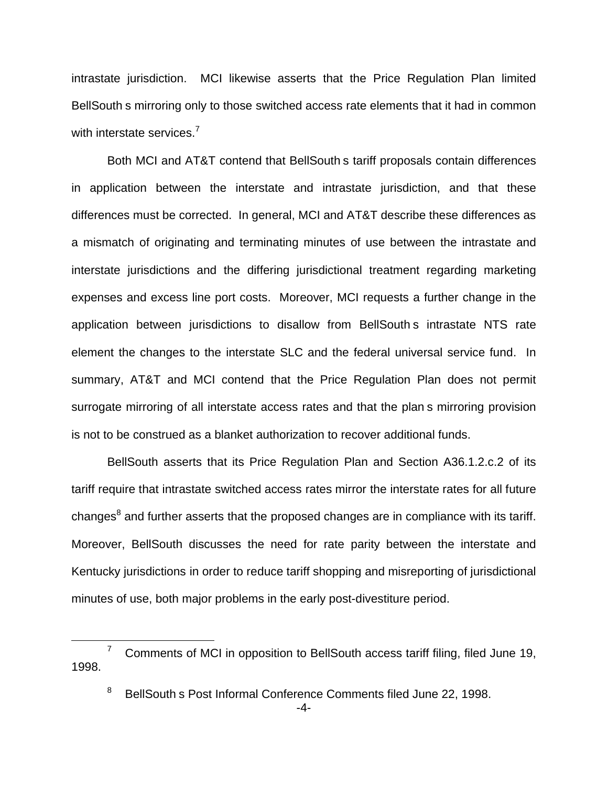intrastate jurisdiction. MCI likewise asserts that the Price Regulation Plan limited BellSouth s mirroring only to those switched access rate elements that it had in common with interstate services.<sup>7</sup>

Both MCI and AT&T contend that BellSouth s tariff proposals contain differences in application between the interstate and intrastate jurisdiction, and that these differences must be corrected. In general, MCI and AT&T describe these differences as a mismatch of originating and terminating minutes of use between the intrastate and interstate jurisdictions and the differing jurisdictional treatment regarding marketing expenses and excess line port costs. Moreover, MCI requests a further change in the application between jurisdictions to disallow from BellSouth s intrastate NTS rate element the changes to the interstate SLC and the federal universal service fund. In summary, AT&T and MCI contend that the Price Regulation Plan does not permit surrogate mirroring of all interstate access rates and that the plan s mirroring provision is not to be construed as a blanket authorization to recover additional funds.

BellSouth asserts that its Price Regulation Plan and Section A36.1.2.c.2 of its tariff require that intrastate switched access rates mirror the interstate rates for all future changes $<sup>8</sup>$  and further asserts that the proposed changes are in compliance with its tariff.</sup> Moreover, BellSouth discusses the need for rate parity between the interstate and Kentucky jurisdictions in order to reduce tariff shopping and misreporting of jurisdictional minutes of use, both major problems in the early post-divestiture period.

 $7$  Comments of MCI in opposition to BellSouth access tariff filing, filed June 19, 1998.

<sup>&</sup>lt;sup>8</sup> BellSouth s Post Informal Conference Comments filed June 22, 1998.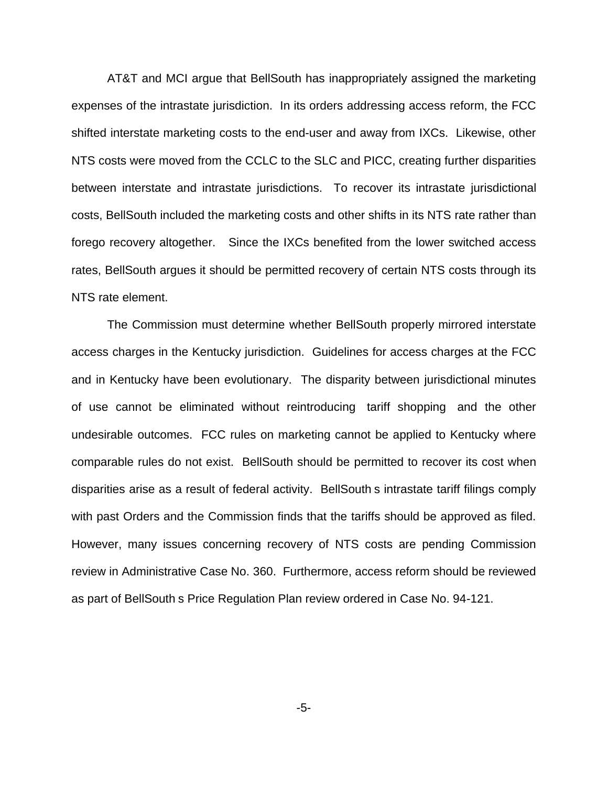AT&T and MCI argue that BellSouth has inappropriately assigned the marketing expenses of the intrastate jurisdiction. In its orders addressing access reform, the FCC shifted interstate marketing costs to the end-user and away from IXCs. Likewise, other NTS costs were moved from the CCLC to the SLC and PICC, creating further disparities between interstate and intrastate jurisdictions. To recover its intrastate jurisdictional costs, BellSouth included the marketing costs and other shifts in its NTS rate rather than forego recovery altogether. Since the IXCs benefited from the lower switched access rates, BellSouth argues it should be permitted recovery of certain NTS costs through its NTS rate element.

The Commission must determine whether BellSouth properly mirrored interstate access charges in the Kentucky jurisdiction. Guidelines for access charges at the FCC and in Kentucky have been evolutionary. The disparity between jurisdictional minutes of use cannot be eliminated without reintroducing tariff shopping and the other undesirable outcomes. FCC rules on marketing cannot be applied to Kentucky where comparable rules do not exist. BellSouth should be permitted to recover its cost when disparities arise as a result of federal activity. BellSouth s intrastate tariff filings comply with past Orders and the Commission finds that the tariffs should be approved as filed. However, many issues concerning recovery of NTS costs are pending Commission review in Administrative Case No. 360. Furthermore, access reform should be reviewed as part of BellSouth s Price Regulation Plan review ordered in Case No. 94-121.

-5-